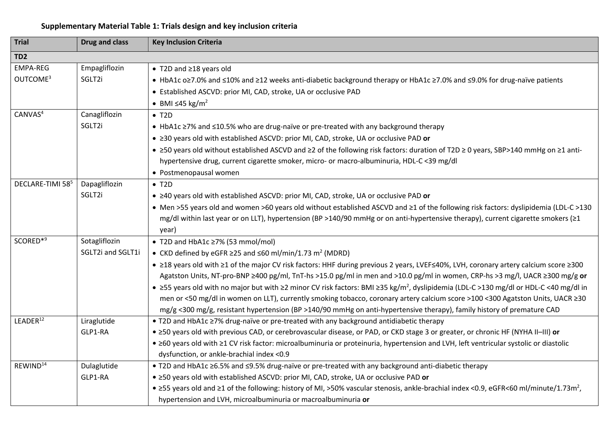## **Supplementary Material Table 1: Trials design and key inclusion criteria**

| <b>Trial</b>                            | <b>Drug and class</b>              | <b>Key Inclusion Criteria</b>                                                                                                                                                                                                                                                                                                                                                                                                                                                                                                                                                                                                                                                                                                                                                                                                   |
|-----------------------------------------|------------------------------------|---------------------------------------------------------------------------------------------------------------------------------------------------------------------------------------------------------------------------------------------------------------------------------------------------------------------------------------------------------------------------------------------------------------------------------------------------------------------------------------------------------------------------------------------------------------------------------------------------------------------------------------------------------------------------------------------------------------------------------------------------------------------------------------------------------------------------------|
| TD <sub>2</sub>                         |                                    |                                                                                                                                                                                                                                                                                                                                                                                                                                                                                                                                                                                                                                                                                                                                                                                                                                 |
| <b>EMPA-REG</b><br>OUTCOME <sup>3</sup> | Empagliflozin<br>SGLT2i            | ● T2D and ≥18 years old<br>• HbA1c o≥7.0% and ≤10% and ≥12 weeks anti-diabetic background therapy or HbA1c ≥7.0% and ≤9.0% for drug-naïve patients<br>• Established ASCVD: prior MI, CAD, stroke, UA or occlusive PAD                                                                                                                                                                                                                                                                                                                                                                                                                                                                                                                                                                                                           |
|                                         |                                    | • BMI $\leq 45$ kg/m <sup>2</sup>                                                                                                                                                                                                                                                                                                                                                                                                                                                                                                                                                                                                                                                                                                                                                                                               |
| CANVAS <sup>4</sup>                     | Canagliflozin<br>SGLT2i            | $\bullet$ T <sub>2</sub> D<br>• HbA1c ≥7% and ≤10.5% who are drug-naïve or pre-treated with any background therapy                                                                                                                                                                                                                                                                                                                                                                                                                                                                                                                                                                                                                                                                                                              |
|                                         |                                    | • ≥30 years old with established ASCVD: prior MI, CAD, stroke, UA or occlusive PAD or<br>• ≥50 years old without established ASCVD and ≥2 of the following risk factors: duration of T2D ≥ 0 years, SBP>140 mmHg on ≥1 anti-                                                                                                                                                                                                                                                                                                                                                                                                                                                                                                                                                                                                    |
|                                         |                                    | hypertensive drug, current cigarette smoker, micro- or macro-albuminuria, HDL-C <39 mg/dl<br>· Postmenopausal women                                                                                                                                                                                                                                                                                                                                                                                                                                                                                                                                                                                                                                                                                                             |
| DECLARE-TIMI 58 <sup>5</sup>            | Dapagliflozin<br>SGLT2i            | $\bullet$ T <sub>2</sub> D<br>• ≥40 years old with established ASCVD: prior MI, CAD, stroke, UA or occlusive PAD or<br>• Men >55 years old and women >60 years old without established ASCVD and ≥1 of the following risk factors: dyslipidemia (LDL-C >130<br>mg/dl within last year or on LLT), hypertension (BP >140/90 mmHg or on anti-hypertensive therapy), current cigarette smokers (≥1<br>year)                                                                                                                                                                                                                                                                                                                                                                                                                        |
| SCORED*9                                | Sotagliflozin<br>SGLT2i and SGLT1i | ● T2D and HbA1c ≥7% (53 mmol/mol)<br>• CKD defined by eGFR $\geq$ 25 and $\leq$ 60 ml/min/1.73 m <sup>2</sup> (MDRD)<br>• ≥18 years old with ≥1 of the major CV risk factors: HHF during previous 2 years, LVEF≤40%, LVH, coronary artery calcium score ≥300<br>Agatston Units, NT-pro-BNP ≥400 pg/ml, TnT-hs >15.0 pg/ml in men and >10.0 pg/ml in women, CRP-hs >3 mg/l, UACR ≥300 mg/g or<br>• $\geq$ 55 years old with no major but with $\geq$ 2 minor CV risk factors: BMI $\geq$ 35 kg/m <sup>2</sup> , dyslipidemia (LDL-C >130 mg/dl or HDL-C <40 mg/dl in<br>men or <50 mg/dl in women on LLT), currently smoking tobacco, coronary artery calcium score >100 <300 Agatston Units, UACR ≥30<br>mg/g <300 mg/g, resistant hypertension (BP >140/90 mmHg on anti-hypertensive therapy), family history of premature CAD |
| LEADER <sup>12</sup>                    | Liraglutide<br>GLP1-RA             | • T2D and HbA1c ≥7% drug-naïve or pre-treated with any background antidiabetic therapy<br>• ≥50 years old with previous CAD, or cerebrovascular disease, or PAD, or CKD stage 3 or greater, or chronic HF (NYHA II-III) or<br>• ≥60 years old with ≥1 CV risk factor: microalbuminuria or proteinuria, hypertension and LVH, left ventricular systolic or diastolic<br>dysfunction, or ankle-brachial index <0.9                                                                                                                                                                                                                                                                                                                                                                                                                |
| REWIND <sup>14</sup>                    | Dulaglutide<br>GLP1-RA             | . T2D and HbA1c ≥6.5% and ≤9.5% drug-naïve or pre-treated with any background anti-diabetic therapy<br>. ≥50 years old with established ASCVD: prior MI, CAD, stroke, UA or occlusive PAD or<br>• ≥55 years old and ≥1 of the following: history of MI, >50% vascular stenosis, ankle-brachial index <0.9, eGFR<60 ml/minute/1.73m <sup>2</sup> ,<br>hypertension and LVH, microalbuminuria or macroalbuminuria or                                                                                                                                                                                                                                                                                                                                                                                                              |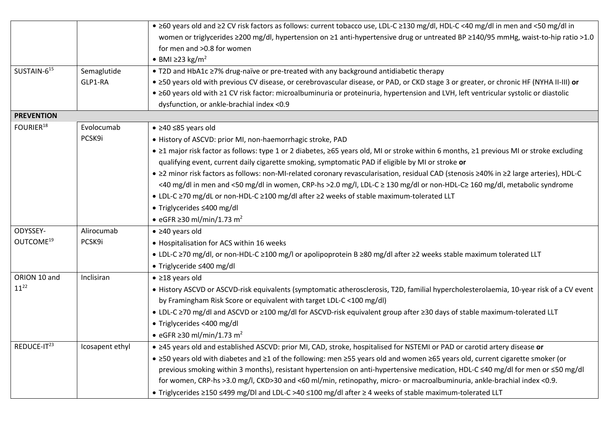|                         |                 | • ≥60 years old and ≥2 CV risk factors as follows: current tobacco use, LDL-C ≥130 mg/dl, HDL-C <40 mg/dl in men and <50 mg/dl in        |
|-------------------------|-----------------|------------------------------------------------------------------------------------------------------------------------------------------|
|                         |                 | women or triglycerides ≥200 mg/dl, hypertension on ≥1 anti-hypertensive drug or untreated BP ≥140/95 mmHg, waist-to-hip ratio >1.0       |
|                         |                 | for men and >0.8 for women                                                                                                               |
|                         |                 | • BMI $\geq$ 23 kg/m <sup>2</sup>                                                                                                        |
| SUSTAIN-615             | Semaglutide     | • T2D and HbA1c ≥7% drug-naïve or pre-treated with any background antidiabetic therapy                                                   |
|                         | GLP1-RA         | • ≥50 years old with previous CV disease, or cerebrovascular disease, or PAD, or CKD stage 3 or greater, or chronic HF (NYHA II-III) or  |
|                         |                 | • ≥60 years old with ≥1 CV risk factor: microalbuminuria or proteinuria, hypertension and LVH, left ventricular systolic or diastolic    |
|                         |                 | dysfunction, or ankle-brachial index <0.9                                                                                                |
| <b>PREVENTION</b>       |                 |                                                                                                                                          |
| FOURIER <sup>18</sup>   | Evolocumab      | $\bullet$ ≥40 ≤85 years old                                                                                                              |
|                         | PCSK9i          | · History of ASCVD: prior MI, non-haemorrhagic stroke, PAD                                                                               |
|                         |                 | • ≥1 major risk factor as follows: type 1 or 2 diabetes, ≥65 years old, MI or stroke within 6 months, ≥1 previous MI or stroke excluding |
|                         |                 | qualifying event, current daily cigarette smoking, symptomatic PAD if eligible by MI or stroke or                                        |
|                         |                 | • ≥2 minor risk factors as follows: non-MI-related coronary revascularisation, residual CAD (stenosis ≥40% in ≥2 large arteries), HDL-C  |
|                         |                 | <40 mg/dl in men and <50 mg/dl in women, CRP-hs >2.0 mg/l, LDL-C ≥ 130 mg/dl or non-HDL-C≥ 160 mg/dl, metabolic syndrome                 |
|                         |                 | • LDL-C ≥70 mg/dL or non-HDL-C ≥100 mg/dl after ≥2 weeks of stable maximum-tolerated LLT                                                 |
|                         |                 | ● Triglycerides ≤400 mg/dl                                                                                                               |
|                         |                 | • eGFR $\geq$ 30 ml/min/1.73 m <sup>2</sup>                                                                                              |
| ODYSSEY-                | Alirocumab      | $\bullet$ $\geq$ 40 years old                                                                                                            |
| OUTCOME <sup>19</sup>   | PCSK9i          | • Hospitalisation for ACS within 16 weeks                                                                                                |
|                         |                 | • LDL-C ≥70 mg/dl, or non-HDL-C ≥100 mg/l or apolipoprotein B ≥80 mg/dl after ≥2 weeks stable maximum tolerated LLT                      |
|                         |                 | • Triglyceride ≤400 mg/dl                                                                                                                |
| ORION 10 and            | Inclisiran      | $\bullet$ ≥18 years old                                                                                                                  |
| $11^{22}$               |                 | • History ASCVD or ASCVD-risk equivalents (symptomatic atherosclerosis, T2D, familial hypercholesterolaemia, 10-year risk of a CV event  |
|                         |                 | by Framingham Risk Score or equivalent with target LDL-C < 100 mg/dl)                                                                    |
|                         |                 | • LDL-C ≥70 mg/dl and ASCVD or ≥100 mg/dl for ASCVD-risk equivalent group after ≥30 days of stable maximum-tolerated LLT                 |
|                         |                 | · Triglycerides <400 mg/dl                                                                                                               |
|                         |                 | • eGFR $\geq$ 30 ml/min/1.73 m <sup>2</sup>                                                                                              |
| REDUCE-IT <sup>23</sup> | Icosapent ethyl | • ≥45 years old and established ASCVD: prior MI, CAD, stroke, hospitalised for NSTEMI or PAD or carotid artery disease or                |
|                         |                 | • ≥50 years old with diabetes and ≥1 of the following: men ≥55 years old and women ≥65 years old, current cigarette smoker (or           |
|                         |                 | previous smoking within 3 months), resistant hypertension on anti-hypertensive medication, HDL-C ≤40 mg/dl for men or ≤50 mg/dl          |
|                         |                 | for women, CRP-hs >3.0 mg/l, CKD>30 and <60 ml/min, retinopathy, micro- or macroalbuminuria, ankle-brachial index <0.9.                  |
|                         |                 | • Triglycerides ≥150 ≤499 mg/Dl and LDL-C >40 ≤100 mg/dl after ≥ 4 weeks of stable maximum-tolerated LLT                                 |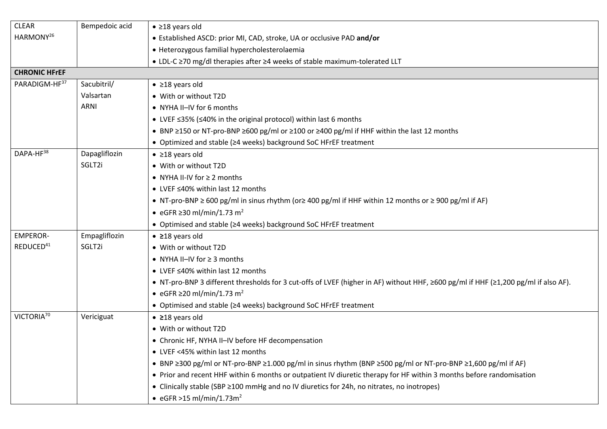| <b>CLEAR</b>           | Bempedoic acid | $\bullet$ ≥18 years old                                                                                                                          |
|------------------------|----------------|--------------------------------------------------------------------------------------------------------------------------------------------------|
| HARMONY <sup>26</sup>  |                | • Established ASCD: prior MI, CAD, stroke, UA or occlusive PAD and/or                                                                            |
|                        |                | · Heterozygous familial hypercholesterolaemia                                                                                                    |
|                        |                | • LDL-C ≥70 mg/dl therapies after ≥4 weeks of stable maximum-tolerated LLT                                                                       |
| <b>CHRONIC HFrEF</b>   |                |                                                                                                                                                  |
| PARADIGM-HF37          | Sacubitril/    | $\bullet$ ≥18 years old                                                                                                                          |
|                        | Valsartan      | • With or without T2D                                                                                                                            |
|                        | <b>ARNI</b>    | • NYHA II-IV for 6 months                                                                                                                        |
|                        |                | • LVEF <35% (<40% in the original protocol) within last 6 months                                                                                 |
|                        |                | • BNP ≥150 or NT-pro-BNP ≥600 pg/ml or ≥100 or ≥400 pg/ml if HHF within the last 12 months                                                       |
|                        |                | • Optimized and stable (≥4 weeks) background SoC HFrEF treatment                                                                                 |
| DAPA-HF38              | Dapagliflozin  | $\bullet$ ≥18 years old                                                                                                                          |
|                        | SGLT2i         | • With or without T2D                                                                                                                            |
|                        |                | • NYHA II-IV for $\geq 2$ months                                                                                                                 |
|                        |                | • LVEF ≤40% within last 12 months                                                                                                                |
|                        |                | • NT-pro-BNP $\geq$ 600 pg/ml in sinus rhythm (or $\geq$ 400 pg/ml if HHF within 12 months or $\geq$ 900 pg/ml if AF)                            |
|                        |                | • eGFR $\geq$ 30 ml/min/1.73 m <sup>2</sup>                                                                                                      |
|                        |                | • Optimised and stable (≥4 weeks) background SoC HFrEF treatment                                                                                 |
| <b>EMPEROR-</b>        | Empagliflozin  | $\bullet$ 218 years old                                                                                                                          |
| REDUCED <sup>41</sup>  | SGLT2i         | • With or without T2D                                                                                                                            |
|                        |                | • NYHA II-IV for $\geq$ 3 months                                                                                                                 |
|                        |                | • LVEF ≤40% within last 12 months                                                                                                                |
|                        |                | • NT-pro-BNP 3 different thresholds for 3 cut-offs of LVEF (higher in AF) without HHF, $\geq$ 600 pg/ml if HHF ( $\geq$ 1,200 pg/ml if also AF). |
|                        |                | • eGFR $\geq$ 20 ml/min/1.73 m <sup>2</sup>                                                                                                      |
|                        |                | • Optimised and stable (≥4 weeks) background SoC HFrEF treatment                                                                                 |
| VICTORIA <sup>70</sup> | Vericiguat     | $\bullet$ 218 years old                                                                                                                          |
|                        |                | • With or without T2D                                                                                                                            |
|                        |                | • Chronic HF, NYHA II-IV before HF decompensation                                                                                                |
|                        |                | • LVEF <45% within last 12 months                                                                                                                |
|                        |                | • BNP ≥300 pg/ml or NT-pro-BNP ≥1.000 pg/ml in sinus rhythm (BNP ≥500 pg/ml or NT-pro-BNP ≥1,600 pg/ml if AF)                                    |
|                        |                | • Prior and recent HHF within 6 months or outpatient IV diuretic therapy for HF within 3 months before randomisation                             |
|                        |                | • Clinically stable (SBP ≥100 mmHg and no IV diuretics for 24h, no nitrates, no inotropes)                                                       |
|                        |                | • eGFR > 15 ml/min/1.73m <sup>2</sup>                                                                                                            |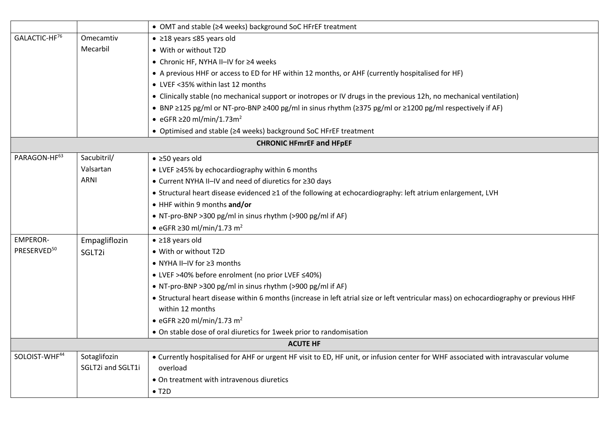|                                 |                   | • OMT and stable (≥4 weeks) background SoC HFrEF treatment                                                                             |  |  |
|---------------------------------|-------------------|----------------------------------------------------------------------------------------------------------------------------------------|--|--|
| GALACTIC-HF <sup>76</sup>       | Omecamtiv         | $\bullet$ ≥18 years ≤85 years old                                                                                                      |  |  |
|                                 | Mecarbil          | • With or without T2D                                                                                                                  |  |  |
|                                 |                   | ● Chronic HF, NYHA II-IV for ≥4 weeks                                                                                                  |  |  |
|                                 |                   | • A previous HHF or access to ED for HF within 12 months, or AHF (currently hospitalised for HF)                                       |  |  |
|                                 |                   | • LVEF <35% within last 12 months                                                                                                      |  |  |
|                                 |                   | • Clinically stable (no mechanical support or inotropes or IV drugs in the previous 12h, no mechanical ventilation)                    |  |  |
|                                 |                   | • BNP ≥125 pg/ml or NT-pro-BNP ≥400 pg/ml in sinus rhythm (≥375 pg/ml or ≥1200 pg/ml respectively if AF)                               |  |  |
|                                 |                   | • eGFR $\geq$ 20 ml/min/1.73m <sup>2</sup>                                                                                             |  |  |
|                                 |                   | • Optimised and stable (≥4 weeks) background SoC HFrEF treatment                                                                       |  |  |
| <b>CHRONIC HFmrEF and HFpEF</b> |                   |                                                                                                                                        |  |  |
| PARAGON-HF63                    | Sacubitril/       | $\bullet$ ≥50 years old                                                                                                                |  |  |
|                                 | Valsartan         | • LVEF ≥45% by echocardiography within 6 months                                                                                        |  |  |
|                                 | <b>ARNI</b>       | • Current NYHA II-IV and need of diuretics for ≥30 days                                                                                |  |  |
|                                 |                   | • Structural heart disease evidenced ≥1 of the following at echocardiography: left atrium enlargement, LVH                             |  |  |
|                                 |                   | • HHF within 9 months and/or                                                                                                           |  |  |
|                                 |                   | • NT-pro-BNP > 300 pg/ml in sinus rhythm (> 900 pg/ml if AF)                                                                           |  |  |
|                                 |                   | • eGFR $\geq$ 30 ml/min/1.73 m <sup>2</sup>                                                                                            |  |  |
| <b>EMPEROR-</b>                 | Empagliflozin     | $\bullet$ ≥18 years old                                                                                                                |  |  |
| PRESERVED <sup>50</sup>         | SGLT2i            | • With or without T2D                                                                                                                  |  |  |
|                                 |                   | ● NYHA II-IV for ≥3 months                                                                                                             |  |  |
|                                 |                   | ● LVEF >40% before enrolment (no prior LVEF ≤40%)                                                                                      |  |  |
|                                 |                   | • NT-pro-BNP > 300 pg/ml in sinus rhythm (> 900 pg/ml if AF)                                                                           |  |  |
|                                 |                   | • Structural heart disease within 6 months (increase in left atrial size or left ventricular mass) on echocardiography or previous HHF |  |  |
|                                 |                   | within 12 months                                                                                                                       |  |  |
|                                 |                   | • eGFR $\geq$ 20 ml/min/1.73 m <sup>2</sup>                                                                                            |  |  |
|                                 |                   | • On stable dose of oral diuretics for 1week prior to randomisation                                                                    |  |  |
|                                 |                   | <b>ACUTE HF</b>                                                                                                                        |  |  |
| SOLOIST-WHF44                   | Sotaglifozin      | • Currently hospitalised for AHF or urgent HF visit to ED, HF unit, or infusion center for WHF associated with intravascular volume    |  |  |
|                                 | SGLT2i and SGLT1i | overload                                                                                                                               |  |  |
|                                 |                   | • On treatment with intravenous diuretics                                                                                              |  |  |
|                                 |                   | $\bullet$ T <sub>2</sub> D                                                                                                             |  |  |